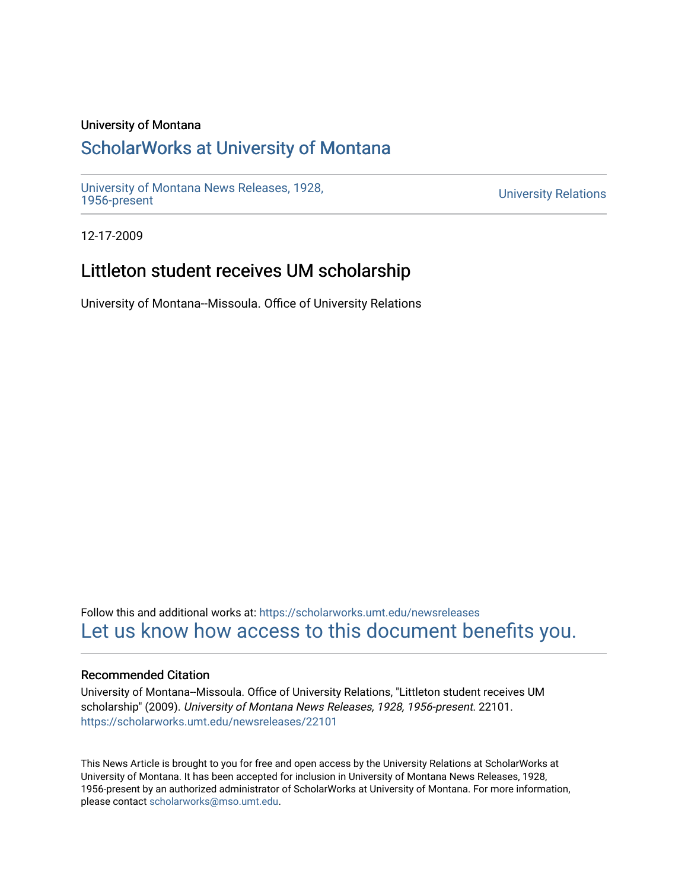#### University of Montana

## [ScholarWorks at University of Montana](https://scholarworks.umt.edu/)

[University of Montana News Releases, 1928,](https://scholarworks.umt.edu/newsreleases) 

**University Relations** 

12-17-2009

## Littleton student receives UM scholarship

University of Montana--Missoula. Office of University Relations

Follow this and additional works at: [https://scholarworks.umt.edu/newsreleases](https://scholarworks.umt.edu/newsreleases?utm_source=scholarworks.umt.edu%2Fnewsreleases%2F22101&utm_medium=PDF&utm_campaign=PDFCoverPages) [Let us know how access to this document benefits you.](https://goo.gl/forms/s2rGfXOLzz71qgsB2) 

#### Recommended Citation

University of Montana--Missoula. Office of University Relations, "Littleton student receives UM scholarship" (2009). University of Montana News Releases, 1928, 1956-present. 22101. [https://scholarworks.umt.edu/newsreleases/22101](https://scholarworks.umt.edu/newsreleases/22101?utm_source=scholarworks.umt.edu%2Fnewsreleases%2F22101&utm_medium=PDF&utm_campaign=PDFCoverPages) 

This News Article is brought to you for free and open access by the University Relations at ScholarWorks at University of Montana. It has been accepted for inclusion in University of Montana News Releases, 1928, 1956-present by an authorized administrator of ScholarWorks at University of Montana. For more information, please contact [scholarworks@mso.umt.edu.](mailto:scholarworks@mso.umt.edu)